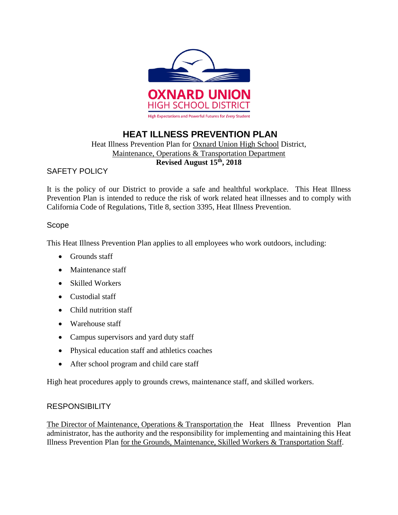

# **HEAT ILLNESS PREVENTION PLAN**

# Heat Illness Prevention Plan for Oxnard Union High School District, Maintenance, Operations & Transportation Department **Revised August 15th, 2018**

# SAFETY POLICY

It is the policy of our District to provide a safe and healthful workplace. This Heat Illness Prevention Plan is intended to reduce the risk of work related heat illnesses and to comply with California Code of Regulations, Title 8, section 3395, Heat Illness Prevention.

# Scope

This Heat Illness Prevention Plan applies to all employees who work outdoors, including:

- Grounds staff
- Maintenance staff
- Skilled Workers
- Custodial staff
- Child nutrition staff
- Warehouse staff
- Campus supervisors and yard duty staff
- Physical education staff and athletics coaches
- After school program and child care staff

High heat procedures apply to grounds crews, maintenance staff, and skilled workers.

# **RESPONSIBILITY**

The Director of Maintenance, Operations & Transportation the Heat Illness Prevention Plan administrator, has the authority and the responsibility for implementing and maintaining this Heat Illness Prevention Plan for the Grounds, Maintenance, Skilled Workers & Transportation Staff.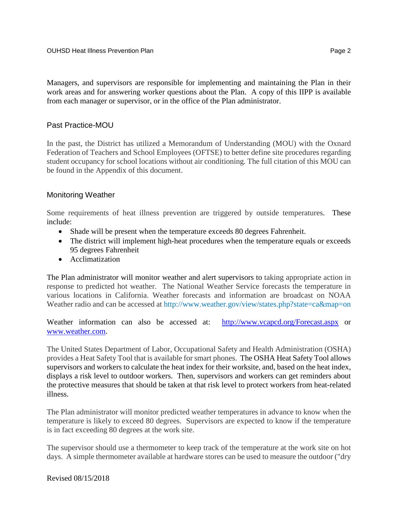Managers, and supervisors are responsible for implementing and maintaining the Plan in their work areas and for answering worker questions about the Plan. A copy of this IIPP is available from each manager or supervisor, or in the office of the Plan administrator.

## Past Practice-MOU

In the past, the District has utilized a Memorandum of Understanding (MOU) with the Oxnard Federation of Teachers and School Employees (OFTSE) to better define site procedures regarding student occupancy for school locations without air conditioning. The full citation of this MOU can be found in the Appendix of this document.

# Monitoring Weather

Some requirements of heat illness prevention are triggered by outside temperatures. These include:

- Shade will be present when the temperature exceeds 80 degrees Fahrenheit.
- The district will implement high-heat procedures when the temperature equals or exceeds 95 degrees Fahrenheit
- Acclimatization

The Plan administrator will monitor weather and alert supervisors to taking appropriate action in response to predicted hot weather. The National Weather Service forecasts the temperature in various locations in California. Weather forecasts and information are broadcast on NOAA Weather radio and can be accessed at <http://www.weather.gov/view/states.php?state=ca&map=on>

Weather information can also be accessed at: <http://www.vcapcd.org/Forecast.aspx> or [www.weather.com.](http://www.weather.com/)

The United States Department of Labor, Occupational Safety and Health Administration (OSHA) provides a Heat Safety Tool that is available for smart phones. The OSHA Heat Safety Tool allows supervisors and workers to calculate the heat index for their worksite, and, based on the heat index, displays a risk level to outdoor workers. Then, supervisors and workers can get reminders about the protective measures that should be taken at that risk level to protect workers from heat-related illness.

The Plan administrator will monitor predicted weather temperatures in advance to know when the temperature is likely to exceed 80 degrees. Supervisors are expected to know if the temperature is in fact exceeding 80 degrees at the work site.

The supervisor should use a thermometer to keep track of the temperature at the work site on hot days. A simple thermometer available at hardware stores can be used to measure the outdoor ("dry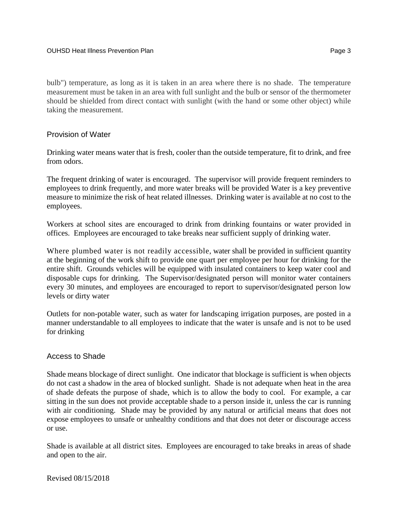bulb") temperature, as long as it is taken in an area where there is no shade. The temperature measurement must be taken in an area with full sunlight and the bulb or sensor of the thermometer should be shielded from direct contact with sunlight (with the hand or some other object) while taking the measurement.

### Provision of Water

Drinking water means water that is fresh, cooler than the outside temperature, fit to drink, and free from odors.

The frequent drinking of water is encouraged. The supervisor will provide frequent reminders to employees to drink frequently, and more water breaks will be provided Water is a key preventive measure to minimize the risk of heat related illnesses. Drinking water is available at no cost to the employees.

Workers at school sites are encouraged to drink from drinking fountains or water provided in offices. Employees are encouraged to take breaks near sufficient supply of drinking water.

Where plumbed water is not readily accessible, water shall be provided in sufficient quantity at the beginning of the work shift to provide one quart per employee per hour for drinking for the entire shift. Grounds vehicles will be equipped with insulated containers to keep water cool and disposable cups for drinking. The Supervisor/designated person will monitor water containers every 30 minutes, and employees are encouraged to report to supervisor/designated person low levels or dirty water

Outlets for non-potable water, such as water for landscaping irrigation purposes, are posted in a manner understandable to all employees to indicate that the water is unsafe and is not to be used for drinking

#### Access to Shade

Shade means blockage of direct sunlight. One indicator that blockage is sufficient is when objects do not cast a shadow in the area of blocked sunlight. Shade is not adequate when heat in the area of shade defeats the purpose of shade, which is to allow the body to cool. For example, a car sitting in the sun does not provide acceptable shade to a person inside it, unless the car is running with air conditioning. Shade may be provided by any natural or artificial means that does not expose employees to unsafe or unhealthy conditions and that does not deter or discourage access or use.

Shade is available at all district sites. Employees are encouraged to take breaks in areas of shade and open to the air.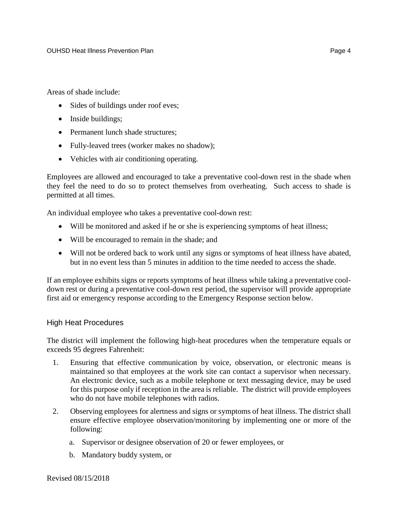Areas of shade include:

- Sides of buildings under roof eves;
- Inside buildings;
- Permanent lunch shade structures;
- Fully-leaved trees (worker makes no shadow);
- Vehicles with air conditioning operating.

Employees are allowed and encouraged to take a preventative cool-down rest in the shade when they feel the need to do so to protect themselves from overheating. Such access to shade is permitted at all times.

An individual employee who takes a preventative cool-down rest:

- Will be monitored and asked if he or she is experiencing symptoms of heat illness;
- Will be encouraged to remain in the shade; and
- Will not be ordered back to work until any signs or symptoms of heat illness have abated, but in no event less than 5 minutes in addition to the time needed to access the shade.

If an employee exhibits signs or reports symptoms of heat illness while taking a preventative cooldown rest or during a preventative cool-down rest period, the supervisor will provide appropriate first aid or emergency response according to the Emergency Response section below.

#### High Heat Procedures

The district will implement the following high-heat procedures when the temperature equals or exceeds 95 degrees Fahrenheit:

- 1. Ensuring that effective communication by voice, observation, or electronic means is maintained so that employees at the work site can contact a supervisor when necessary. An electronic device, such as a mobile telephone or text messaging device, may be used for this purpose only if reception in the area is reliable. The district will provide employees who do not have mobile telephones with radios.
- 2. Observing employees for alertness and signs or symptoms of heat illness. The district shall ensure effective employee observation/monitoring by implementing one or more of the following:
	- a. Supervisor or designee observation of 20 or fewer employees, or
	- b. Mandatory buddy system, or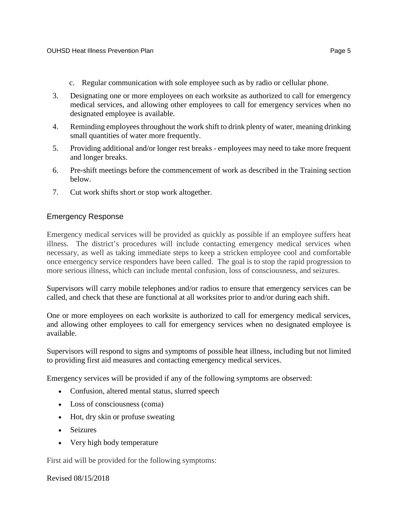- c. Regular communication with sole employee such as by radio or cellular phone.
- 3. Designating one or more employees on each worksite as authorized to call for emergency medical services, and allowing other employees to call for emergency services when no designated employee is available.
- 4. Reminding employees throughout the work shift to drink plenty of water, meaning drinking small quantities of water more frequently.
- 5. Providing additional and/or longer rest breaks employees may need to take more frequent and longer breaks.
- 6. Pre-shift meetings before the commencement of work as described in the Training section below.
- 7. Cut work shifts short or stop work altogether.

#### Emergency Response

Emergency medical services will be provided as quickly as possible if an employee suffers heat illness. The district's procedures will include contacting emergency medical services when necessary, as well as taking immediate steps to keep a stricken employee cool and comfortable once emergency service responders have been called. The goal is to stop the rapid progression to more serious illness, which can include mental confusion, loss of consciousness, and seizures.

Supervisors will carry mobile telephones and/or radios to ensure that emergency services can be called, and check that these are functional at all worksites prior to and/or during each shift.

One or more employees on each worksite is authorized to call for emergency medical services, and allowing other employees to call for emergency services when no designated employee is available.

Supervisors will respond to signs and symptoms of possible heat illness, including but not limited to providing first aid measures and contacting emergency medical services.

Emergency services will be provided if any of the following symptoms are observed:

- Confusion, altered mental status, slurred speech
- Loss of consciousness (coma)
- Hot, dry skin or profuse sweating
- Seizures
- Very high body temperature

First aid will be provided for the following symptoms: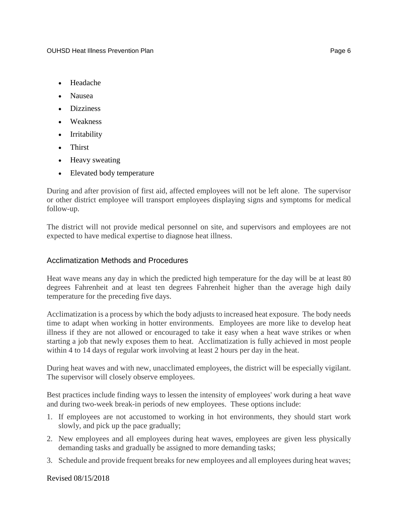- Headache
- Nausea
- Dizziness
- Weakness
- Irritability
- Thirst
- Heavy sweating
- Elevated body temperature

During and after provision of first aid, affected employees will not be left alone. The supervisor or other district employee will transport employees displaying signs and symptoms for medical follow-up.

The district will not provide medical personnel on site, and supervisors and employees are not expected to have medical expertise to diagnose heat illness.

# Acclimatization Methods and Procedures

Heat wave means any day in which the predicted high temperature for the day will be at least 80 degrees Fahrenheit and at least ten degrees Fahrenheit higher than the average high daily temperature for the preceding five days.

Acclimatization is a process by which the body adjusts to increased heat exposure. The body needs time to adapt when working in hotter environments. Employees are more like to develop heat illness if they are not allowed or encouraged to take it easy when a heat wave strikes or when starting a job that newly exposes them to heat. Acclimatization is fully achieved in most people within 4 to 14 days of regular work involving at least 2 hours per day in the heat.

During heat waves and with new, unacclimated employees, the district will be especially vigilant. The supervisor will closely observe employees.

Best practices include finding ways to lessen the intensity of employees' work during a heat wave and during two-week break-in periods of new employees. These options include:

- 1. If employees are not accustomed to working in hot environments, they should start work slowly, and pick up the pace gradually;
- 2. New employees and all employees during heat waves, employees are given less physically demanding tasks and gradually be assigned to more demanding tasks;
- 3. Schedule and provide frequent breaks for new employees and all employees during heat waves;

Revised 08/15/2018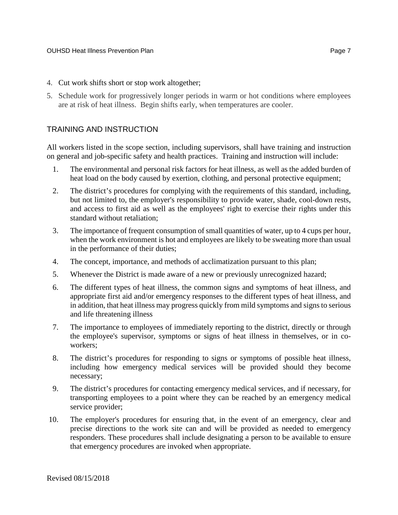- 4. Cut work shifts short or stop work altogether;
- 5. Schedule work for progressively longer periods in warm or hot conditions where employees are at risk of heat illness. Begin shifts early, when temperatures are cooler.

# TRAINING AND INSTRUCTION

All workers listed in the scope section, including supervisors, shall have training and instruction on general and job-specific safety and health practices. Training and instruction will include:

- 1. The environmental and personal risk factors for heat illness, as well as the added burden of heat load on the body caused by exertion, clothing, and personal protective equipment;
- 2. The district's procedures for complying with the requirements of this standard, including, but not limited to, the employer's responsibility to provide water, shade, cool-down rests, and access to first aid as well as the employees' right to exercise their rights under this standard without retaliation;
- 3. The importance of frequent consumption of small quantities of water, up to 4 cups per hour, when the work environment is hot and employees are likely to be sweating more than usual in the performance of their duties;
- 4. The concept, importance, and methods of acclimatization pursuant to this plan;
- 5. Whenever the District is made aware of a new or previously unrecognized hazard;
- 6. The different types of heat illness, the common signs and symptoms of heat illness, and appropriate first aid and/or emergency responses to the different types of heat illness, and in addition, that heat illness may progress quickly from mild symptoms and signs to serious and life threatening illness
- 7. The importance to employees of immediately reporting to the district, directly or through the employee's supervisor, symptoms or signs of heat illness in themselves, or in coworkers;
- 8. The district's procedures for responding to signs or symptoms of possible heat illness, including how emergency medical services will be provided should they become necessary;
- 9. The district's procedures for contacting emergency medical services, and if necessary, for transporting employees to a point where they can be reached by an emergency medical service provider;
- 10. The employer's procedures for ensuring that, in the event of an emergency, clear and precise directions to the work site can and will be provided as needed to emergency responders. These procedures shall include designating a person to be available to ensure that emergency procedures are invoked when appropriate.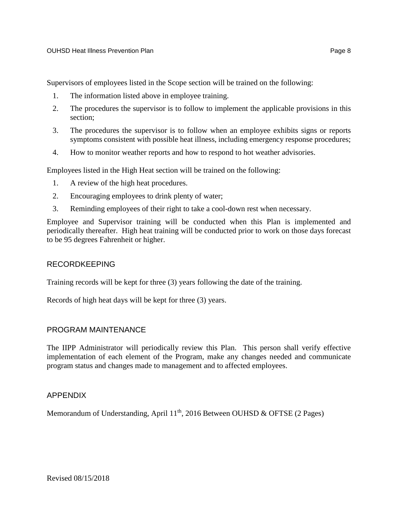Supervisors of employees listed in the Scope section will be trained on the following:

- 1. The information listed above in employee training.
- 2. The procedures the supervisor is to follow to implement the applicable provisions in this section;
- 3. The procedures the supervisor is to follow when an employee exhibits signs or reports symptoms consistent with possible heat illness, including emergency response procedures;
- 4. How to monitor weather reports and how to respond to hot weather advisories.

Employees listed in the High Heat section will be trained on the following:

- 1. A review of the high heat procedures.
- 2. Encouraging employees to drink plenty of water;
- 3. Reminding employees of their right to take a cool-down rest when necessary.

Employee and Supervisor training will be conducted when this Plan is implemented and periodically thereafter. High heat training will be conducted prior to work on those days forecast to be 95 degrees Fahrenheit or higher.

#### RECORDKEEPING

Training records will be kept for three (3) years following the date of the training.

Records of high heat days will be kept for three (3) years.

#### PROGRAM MAINTENANCE

The IIPP Administrator will periodically review this Plan. This person shall verify effective implementation of each element of the Program, make any changes needed and communicate program status and changes made to management and to affected employees.

# APPENDIX

Memorandum of Understanding, April  $11<sup>th</sup>$ , 2016 Between OUHSD & OFTSE (2 Pages)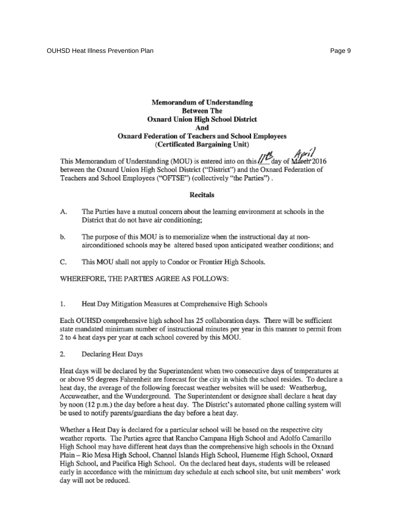#### Memorandum of Understanding **Between The Oxnard Union High School District** And Oxnard Federation of Teachers and School Employees (Certificated Bargaining Unit)

between the Oxnard Union High School District ("District") and the Oxnard Federation of Teachers and School Employees ("OFTSE") (collectively "the Parties").

#### **Recitals**

- The Parties have a mutual concern about the learning environment at schools in the А. District that do not have air conditioning;
- b. The purpose of this MOU is to memorialize when the instructional day at nonairconditioned schools may be altered based upon anticipated weather conditions; and
- C. This MOU shall not apply to Condor or Frontier High Schools.

WHEREFORE, THE PARTIES AGREE AS FOLLOWS:

1. Heat Day Mitigation Measures at Comprehensive High Schools

Each OUHSD comprehensive high school has 25 collaboration days. There will be sufficient state mandated minimum number of instructional minutes per year in this manner to permit from 2 to 4 heat days per year at each school covered by this MOU.

2. Declaring Heat Days

Heat days will be declared by the Superintendent when two consecutive days of temperatures at or above 95 degrees Fahrenheit are forecast for the city in which the school resides. To declare a heat day, the average of the following forecast weather websites will be used: Weatherbug, Accuweather, and the Wunderground. The Superintendent or designee shall declare a heat day by noon (12 p.m.) the day before a heat day. The District's automated phone calling system will be used to notify parents/guardians the day before a heat day.

Whether a Heat Day is declared for a particular school will be based on the respective city weather reports. The Parties agree that Rancho Campana High School and Adolfo Camarillo High School may have different heat days than the comprehensive high schools in the Oxnard Plain - Rio Mesa High School, Channel Islands High School, Hueneme High School, Oxnard High School, and Pacifica High School. On the declared heat days, students will be released early in accordance with the minimum day schedule at each school site, but unit members' work day will not be reduced.